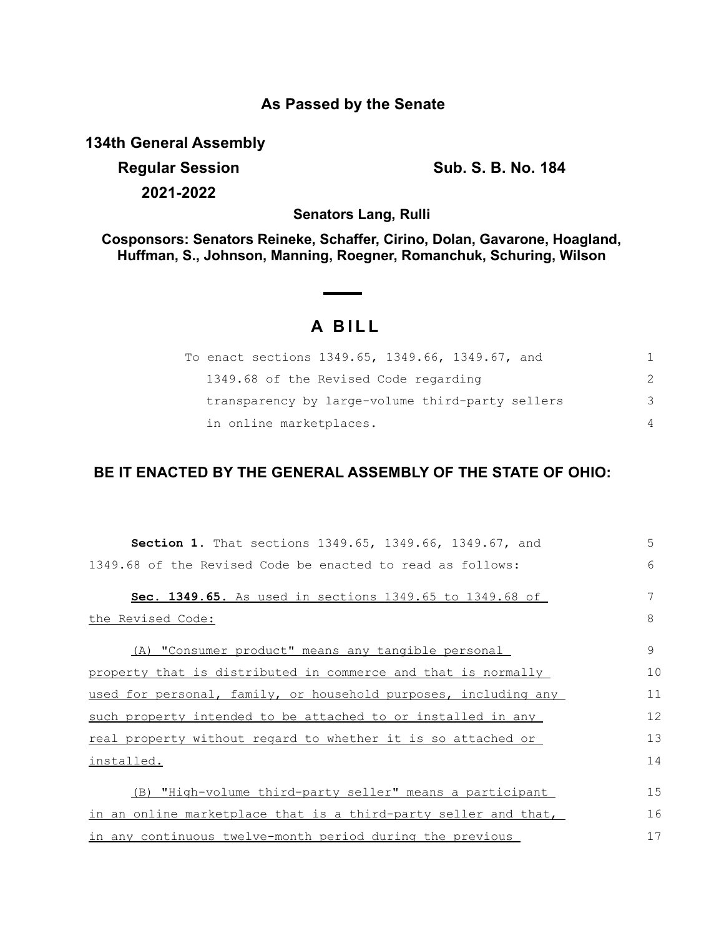## **As Passed by the Senate**

**134th General Assembly**

**Regular Session Sub. S. B. No. 184 2021-2022**

**Senators Lang, Rulli**

**Cosponsors: Senators Reineke, Schaffer, Cirino, Dolan, Gavarone, Hoagland, Huffman, S., Johnson, Manning, Roegner, Romanchuk, Schuring, Wilson**

## **A BILL**

| To enact sections 1349.65, 1349.66, 1349.67, and |   |
|--------------------------------------------------|---|
| 1349.68 of the Revised Code regarding            |   |
| transparency by large-volume third-party sellers | 3 |
| in online marketplaces.                          | 4 |

## **BE IT ENACTED BY THE GENERAL ASSEMBLY OF THE STATE OF OHIO:**

| Section 1. That sections 1349.65, 1349.66, 1349.67, and         | 5  |
|-----------------------------------------------------------------|----|
| 1349.68 of the Revised Code be enacted to read as follows:      | 6  |
| Sec. 1349.65. As used in sections 1349.65 to 1349.68 of         | 7  |
| <u>the Revised Code:</u>                                        | 8  |
| (A) "Consumer product" means any tangible personal              | 9  |
| property that is distributed in commerce and that is normally   | 10 |
| used for personal, family, or household purposes, including any | 11 |
| such property intended to be attached to or installed in any    | 12 |
| real property without regard to whether it is so attached or    | 13 |
| <u>installed.</u>                                               | 14 |
| (B) "High-volume third-party seller" means a participant        | 15 |
| in an online marketplace that is a third-party seller and that, | 16 |
| in any continuous twelve-month period during the previous       | 17 |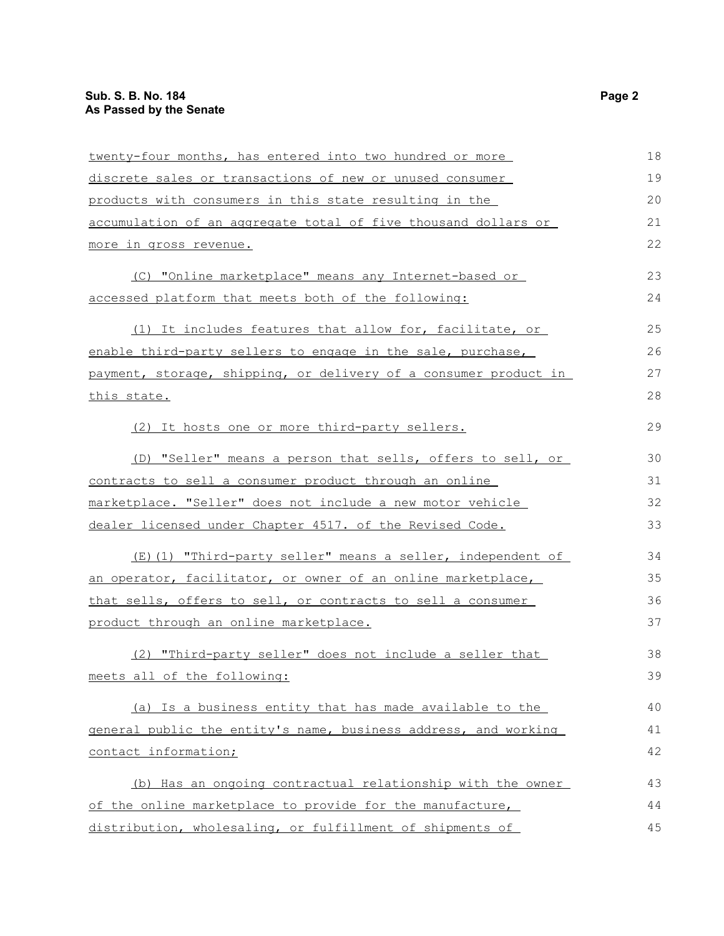| twenty-four months, has entered into two hundred or more         | 18 |
|------------------------------------------------------------------|----|
| discrete sales or transactions of new or unused consumer         | 19 |
| products with consumers in this state resulting in the           | 20 |
| accumulation of an aggregate total of five thousand dollars or   | 21 |
| <u>more in gross revenue.</u>                                    | 22 |
| (C) "Online marketplace" means any Internet-based or             | 23 |
| accessed platform that meets both of the following:              | 24 |
| (1) It includes features that allow for, facilitate, or          | 25 |
| enable third-party sellers to engage in the sale, purchase,      | 26 |
| payment, storage, shipping, or delivery of a consumer product in | 27 |
| this state.                                                      | 28 |
| (2) It hosts one or more third-party sellers.                    | 29 |
| (D) "Seller" means a person that sells, offers to sell, or       | 30 |
| contracts to sell a consumer product through an online           | 31 |
| marketplace. "Seller" does not include a new motor vehicle       | 32 |
| dealer licensed under Chapter 4517. of the Revised Code.         | 33 |
| (E)(1) "Third-party seller" means a seller, independent of       | 34 |
| an operator, facilitator, or owner of an online marketplace,     | 35 |
| that sells, offers to sell, or contracts to sell a consumer      | 36 |
| product through an online marketplace.                           | 37 |
| (2) "Third-party seller" does not include a seller that          | 38 |
| meets all of the following:                                      | 39 |
| (a) Is a business entity that has made available to the          | 40 |
| general public the entity's name, business address, and working  | 41 |
| contact information;                                             | 42 |
| (b) Has an ongoing contractual relationship with the owner       | 43 |
| of the online marketplace to provide for the manufacture,        | 44 |
| distribution, wholesaling, or fulfillment of shipments of        | 45 |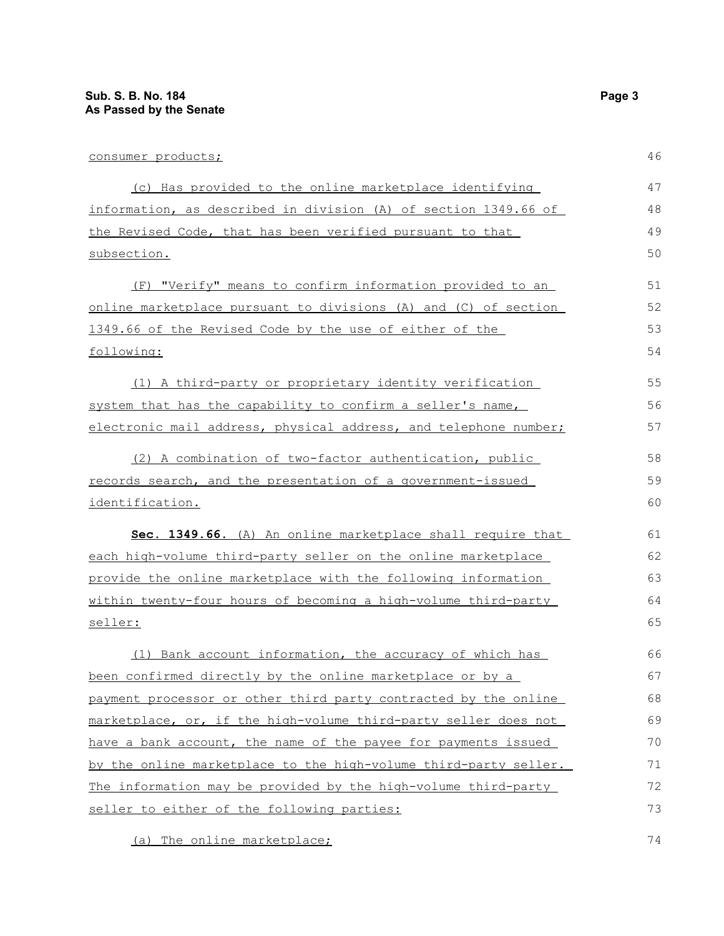| consumer products;                                               | 46 |
|------------------------------------------------------------------|----|
| (c) Has provided to the online marketplace identifying           | 47 |
| information, as described in division (A) of section 1349.66 of  | 48 |
| the Revised Code, that has been verified pursuant to that        | 49 |
| subsection.                                                      | 50 |
| (F) "Verify" means to confirm information provided to an         | 51 |
| online marketplace pursuant to divisions (A) and (C) of section  | 52 |
| 1349.66 of the Revised Code by the use of either of the          | 53 |
| following:                                                       | 54 |
| (1) A third-party or proprietary identity verification           | 55 |
| system that has the capability to confirm a seller's name,       | 56 |
| electronic mail address, physical address, and telephone number; | 57 |
| (2) A combination of two-factor authentication, public           | 58 |
| records search, and the presentation of a government-issued      | 59 |
| identification.                                                  | 60 |
| Sec. 1349.66. (A) An online marketplace shall require that       | 61 |
| each high-volume third-party seller on the online marketplace    | 62 |
| provide the online marketplace with the following information    | 63 |
| within twenty-four hours of becoming a high-volume third-party   | 64 |
| seller:                                                          | 65 |
| (1) Bank account information, the accuracy of which has          | 66 |
| been confirmed directly by the online marketplace or by a        | 67 |
| payment processor or other third party contracted by the online  | 68 |
| marketplace, or, if the high-volume third-party seller does not  | 69 |
| have a bank account, the name of the payee for payments issued   | 70 |
| by the online marketplace to the high-volume third-party seller. | 71 |
| The information may be provided by the high-volume third-party   | 72 |

(a) The online marketplace;

seller to either of the following parties:

74

73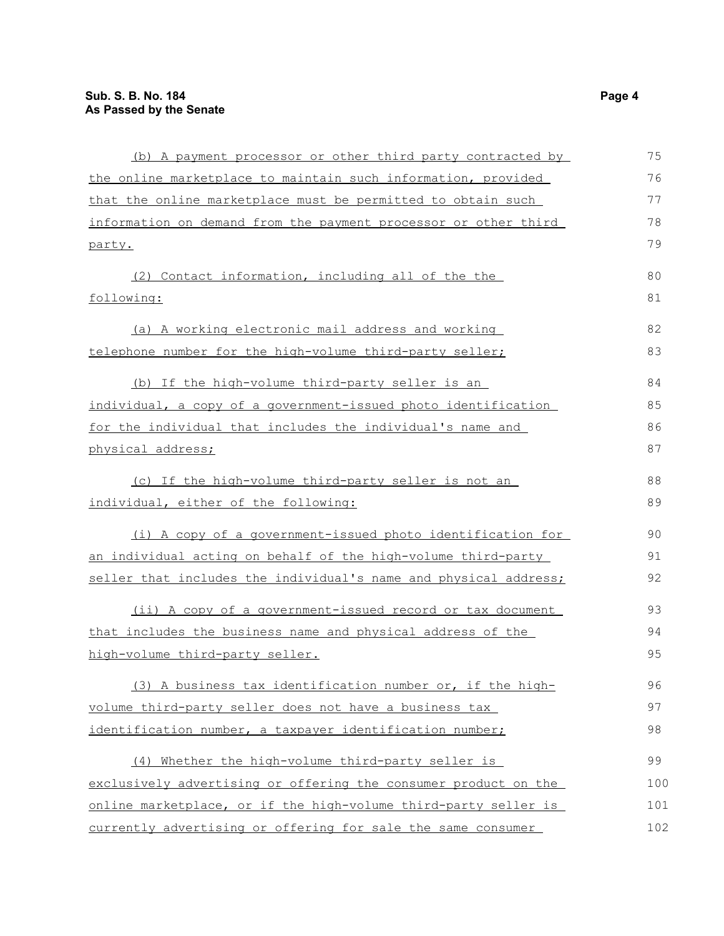| (b) A payment processor or other third party contracted by       | 75  |
|------------------------------------------------------------------|-----|
| the online marketplace to maintain such information, provided    | 76  |
| that the online marketplace must be permitted to obtain such     | 77  |
| information on demand from the payment processor or other third  | 78  |
| party.                                                           | 79  |
| (2) Contact information, including all of the the                | 80  |
| following:                                                       | 81  |
| (a) A working electronic mail address and working                | 82  |
| telephone number for the high-volume third-party seller;         | 83  |
| (b) If the high-volume third-party seller is an                  | 84  |
| individual, a copy of a government-issued photo identification   | 85  |
| for the individual that includes the individual's name and       | 86  |
| physical address;                                                | 87  |
| (c) If the high-volume third-party seller is not an              | 88  |
| individual, either of the following:                             | 89  |
| (i) A copy of a government-issued photo identification for       | 90  |
| an individual acting on behalf of the high-volume third-party    | 91  |
| seller that includes the individual's name and physical address; | 92  |
| (ii) A copy of a government-issued record or tax document        | 93  |
| that includes the business name and physical address of the      | 94  |
| high-volume third-party seller.                                  | 95  |
| (3) A business tax identification number or, if the high-        | 96  |
| volume third-party seller does not have a business tax           | 97  |
| identification number, a taxpayer identification number;         | 98  |
| (4) Whether the high-volume third-party seller is                | 99  |
| exclusively advertising or offering the consumer product on the  | 100 |
| online marketplace, or if the high-volume third-party seller is  | 101 |
| currently advertising or offering for sale the same consumer     | 102 |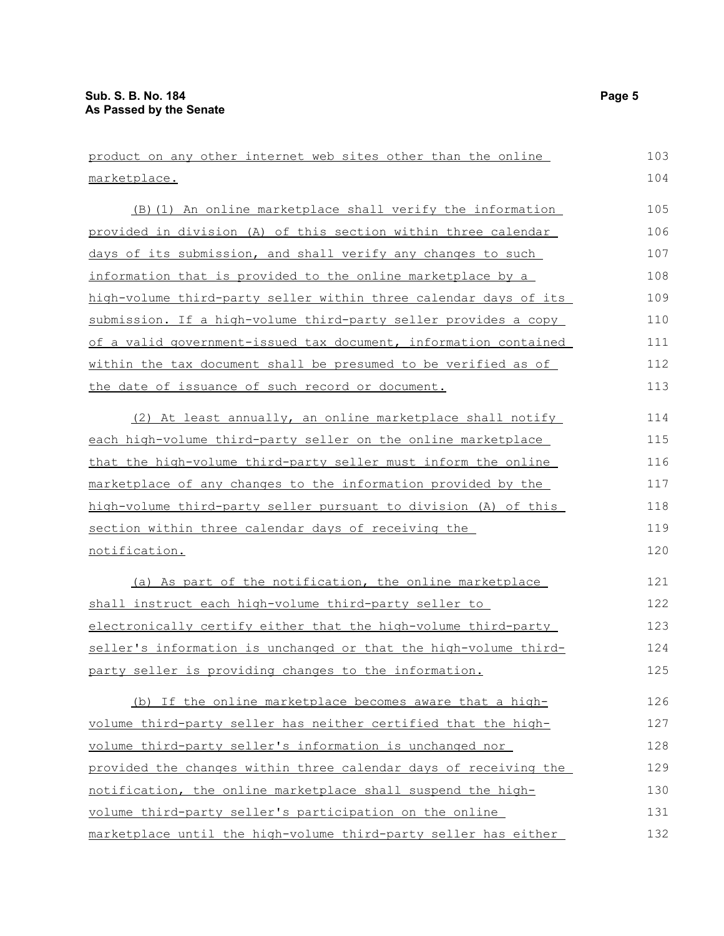| product on any other internet web sites other than the online         | 103 |
|-----------------------------------------------------------------------|-----|
| marketplace.                                                          | 104 |
| (B) (1) An online marketplace shall verify the information            | 105 |
| provided in division (A) of this section within three calendar        | 106 |
| days of its submission, and shall verify any changes to such          | 107 |
| information that is provided to the online marketplace by a           | 108 |
| high-volume third-party seller within three calendar days of its      | 109 |
| submission. If a high-volume third-party seller provides a copy       | 110 |
| of a valid government-issued tax document, information contained      | 111 |
| <u>within the tax document shall be presumed to be verified as of</u> | 112 |
| the date of issuance of such record or document.                      | 113 |
| (2) At least annually, an online marketplace shall notify             | 114 |
| each high-volume third-party seller on the online marketplace         | 115 |
| that the high-volume third-party seller must inform the online        | 116 |
| marketplace of any changes to the information provided by the         | 117 |
| high-volume third-party seller pursuant to division (A) of this       | 118 |
| section within three calendar days of receiving the                   | 119 |
| notification.                                                         | 120 |
| (a) As part of the notification, the online marketplace               | 121 |
| shall instruct each high-volume third-party seller to                 | 122 |
| electronically certify either that the high-volume third-party        | 123 |
| seller's information is unchanged or that the high-volume third-      | 124 |
| party seller is providing changes to the information.                 | 125 |
| (b) If the online marketplace becomes aware that a high-              | 126 |
| volume third-party seller has neither certified that the high-        | 127 |
| volume third-party seller's information is unchanged nor              | 128 |
| provided the changes within three calendar days of receiving the      | 129 |
| notification, the online marketplace shall suspend the high-          | 130 |
| volume third-party seller's participation on the online               | 131 |
| marketplace until the high-volume third-party seller has either       | 132 |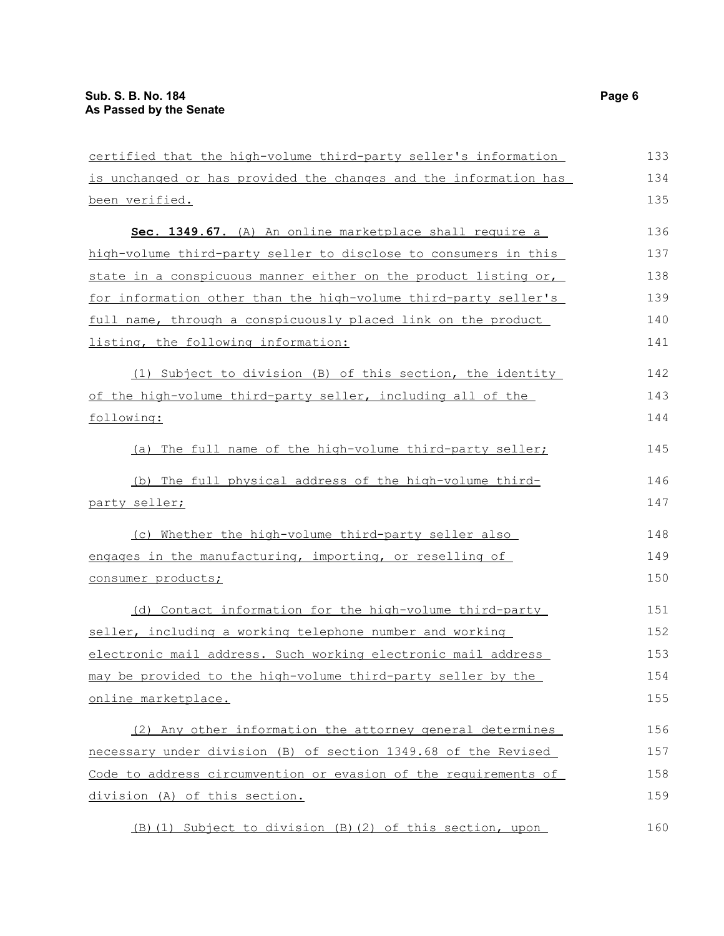| certified that the high-volume third-party seller's information  | 133 |
|------------------------------------------------------------------|-----|
| is unchanged or has provided the changes and the information has | 134 |
| been verified.                                                   | 135 |
| Sec. 1349.67. (A) An online marketplace shall require a          | 136 |
| high-volume third-party seller to disclose to consumers in this  | 137 |
| state in a conspicuous manner either on the product listing or,  | 138 |
| for information other than the high-volume third-party seller's  | 139 |
| full name, through a conspicuously placed link on the product    | 140 |
| listing, the following information:                              | 141 |
| (1) Subject to division (B) of this section, the identity        | 142 |
| of the high-volume third-party seller, including all of the      | 143 |
| following:                                                       | 144 |
| (a) The full name of the high-volume third-party seller;         | 145 |
| (b) The full physical address of the high-volume third-          | 146 |
| party seller;                                                    | 147 |
| (c) Whether the high-volume third-party seller also              | 148 |
| engages in the manufacturing, importing, or reselling of         | 149 |
| consumer products;                                               | 150 |
| (d) Contact information for the high-volume third-party          | 151 |
| seller, including a working telephone number and working         | 152 |
| electronic mail address. Such working electronic mail address    | 153 |
| may be provided to the high-volume third-party seller by the     | 154 |
| online marketplace.                                              | 155 |
| (2) Any other information the attorney general determines        | 156 |
| necessary under division (B) of section 1349.68 of the Revised   | 157 |
| Code to address circumvention or evasion of the requirements of  | 158 |
| division (A) of this section.                                    | 159 |
| (B) (1) Subject to division (B) (2) of this section, upon        | 160 |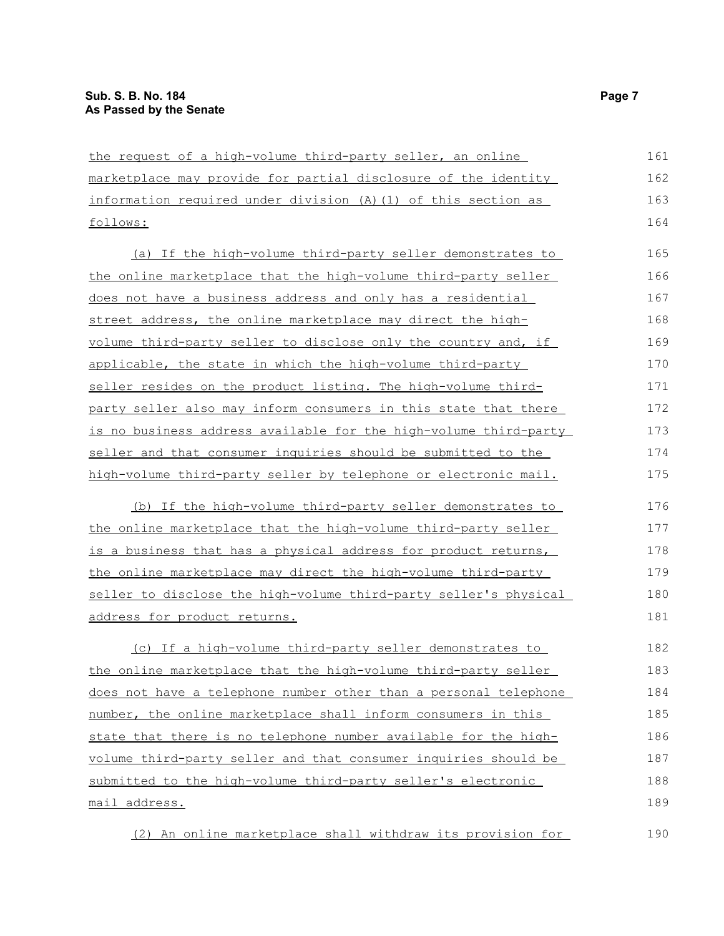| the request of a high-volume third-party seller, an online            | 161 |
|-----------------------------------------------------------------------|-----|
| marketplace may provide for partial disclosure of the identity        | 162 |
| information required under division (A) (1) of this section as        | 163 |
| follows:                                                              | 164 |
| (a) If the high-volume third-party seller demonstrates to             | 165 |
| <u>the online marketplace that the high-volume third-party seller</u> | 166 |
| does not have a business address and only has a residential           | 167 |
| street address, the online marketplace may direct the high-           | 168 |
| volume third-party seller to disclose only the country and, if        | 169 |
| applicable, the state in which the high-volume third-party            | 170 |
| seller resides on the product listing. The high-volume third-         | 171 |
| party seller also may inform consumers in this state that there       | 172 |
| is no business address available for the high-volume third-party      | 173 |
| seller and that consumer inquiries should be submitted to the         | 174 |
| high-volume third-party seller by telephone or electronic mail.       | 175 |
| (b) If the high-volume third-party seller demonstrates to             | 176 |
| <u>the online marketplace that the high-volume third-party seller</u> | 177 |
| is a business that has a physical address for product returns,        | 178 |
| the online marketplace may direct the high-volume third-party         | 179 |
| seller to disclose the high-volume third-party seller's physical      | 180 |
| address for product returns.                                          | 181 |
| (c) If a high-volume third-party seller demonstrates to               | 182 |
| the online marketplace that the high-volume third-party seller        | 183 |
| does not have a telephone number other than a personal telephone      | 184 |
| number, the online marketplace shall inform consumers in this         | 185 |
| state that there is no telephone number available for the high-       | 186 |
| volume third-party seller and that consumer inquiries should be       | 187 |
| submitted to the high-volume third-party seller's electronic          | 188 |
| mail address.                                                         | 189 |
| (2) An online marketplace shall withdraw its provision for            | 190 |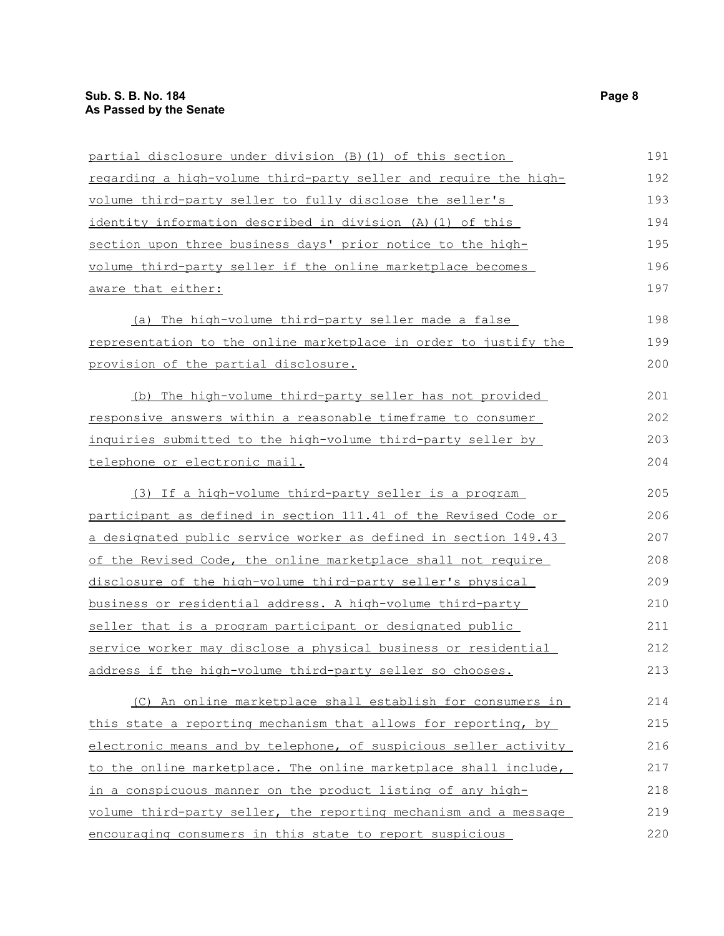| partial disclosure under division (B) (1) of this section           | 191 |
|---------------------------------------------------------------------|-----|
| regarding a high-volume third-party seller and require the high-    | 192 |
| volume third-party seller to fully disclose the seller's            | 193 |
| identity information described in division (A) (1) of this          | 194 |
| section upon three business days' prior notice to the high-         | 195 |
| volume third-party seller if the online marketplace becomes         | 196 |
| aware that either:                                                  | 197 |
| (a) The high-volume third-party seller made a false                 | 198 |
| representation to the online marketplace in order to justify the    | 199 |
| provision of the partial disclosure.                                | 200 |
| (b) The high-volume third-party seller has not provided             | 201 |
| <u>responsive answers within a reasonable timeframe to consumer</u> | 202 |
| inquiries submitted to the high-volume third-party seller by        | 203 |
| telephone or electronic mail.                                       | 204 |
| (3) If a high-volume third-party seller is a program                | 205 |
| participant as defined in section 111.41 of the Revised Code or     | 206 |
| a designated public service worker as defined in section 149.43     | 207 |
| of the Revised Code, the online marketplace shall not require       | 208 |
| disclosure of the high-volume third-party seller's physical         | 209 |
| business or residential address. A high-volume third-party          | 210 |
| seller that is a program participant or designated public           | 211 |
| service worker may disclose a physical business or residential      | 212 |
| <u>address if the high-volume third-party seller so chooses.</u>    | 213 |
| (C) An online marketplace shall establish for consumers in          | 214 |
| this state a reporting mechanism that allows for reporting, by      | 215 |
| electronic means and by telephone, of suspicious seller activity    | 216 |
| to the online marketplace. The online marketplace shall include,    | 217 |
| in a conspicuous manner on the product listing of any high-         | 218 |
| volume third-party seller, the reporting mechanism and a message    | 219 |
| encouraging consumers in this state to report suspicious            | 220 |